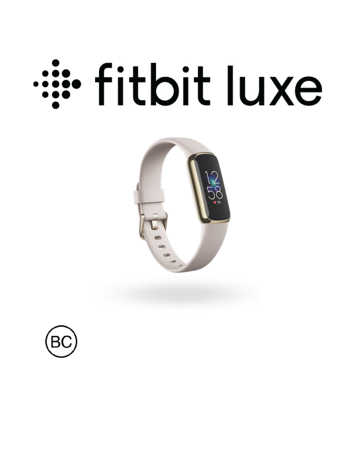# essigned it bit luxe



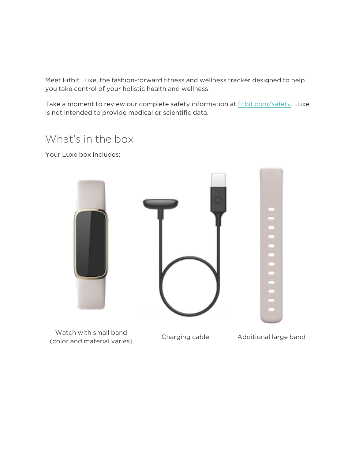Meet Fitbit Luxe, the fashion-forward fitness and wellness tracker designed to help you take control of your holistic health and wellness.

Take a moment to review our complete safety information at [fitbit.com/safety.](https://www.fitbit.com/legal/safety-instructions) Luxe is not intended to provide medical or scientific data.

### What's in the box

Your Luxe box includes:

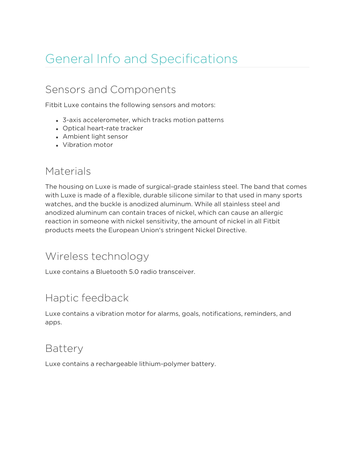# General Info and Specifications

# Sensors and Components

Fitbit Luxe contains the following sensors and motors:

- 3-axis accelerometer, which tracks motion patterns
- Optical heart-rate tracker
- Ambient light sensor
- Vibration motor

#### Materials

The housing on Luxe is made of surgical-grade stainless steel. The band that comes with Luxe is made of a flexible, durable silicone similar to that used in many sports watches, and the buckle is anodized aluminum. While all stainless steel and anodized aluminum can contain traces of nickel, which can cause an allergic reaction in someone with nickel sensitivity, the amount of nickel in all Fitbit products meets the European Union's stringent Nickel Directive.

#### Wireless technology

Luxe contains a Bluetooth 5.0 radio transceiver.

# Haptic feedback

Luxe contains a vibration motor for alarms, goals, notifications, reminders, and apps.

#### Battery

Luxe contains a rechargeable lithium-polymer battery.